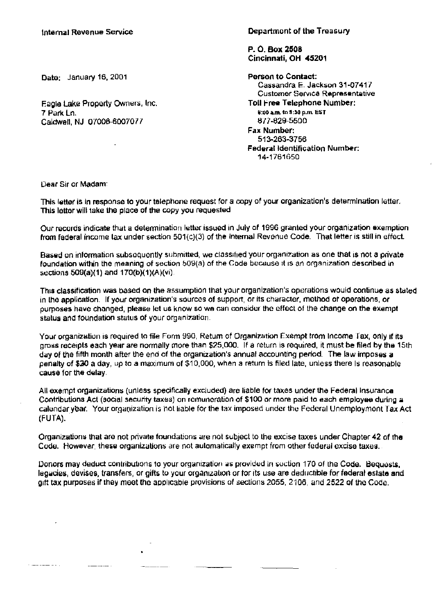Department of the Treasury

P. 0. Box 2508 Cincinnati, OH 45201

Person to Contact: Cassandra E\_ Jackson 31-0741/ Customer Service Representative Toll Free Telephone Number: 8:00 a.m. to 9:30 p.m. EST 617-829-5500 Fax Number: 513-263-3756 Federal Identification Number: 14-1761650

Data: January 16, 2001

Eagle Lake Property Owners, Inc. 7 Park Ln. Caldwell, NJ 07006-6007077

 $\overline{a}$ 

Dear Sir or Madam:

This letter is in response to your telephone request for a copy of your organization's determination letter. This letter will take the place of the copy you requested

Our records indicate that a determination letter issued in July of 1996 granted your organization exemption from federal income tax under section  $501(c)(3)$  of the internal Revenue Code. That letter is still in effect.

Based on information subsoquontly submitted, we classified your organization as one that is not a private foundation within the meaning of section 509(a) of the Code because it is an organization described in sections  $509(a)(1)$  and  $170(b)(1)(A)(vi)$ .

This classification was based on the assumption that your organization's operations would continue as stated in the application. If your organization's sources of support, or its character, method of operations, or purposes have changed, please let us know so we can consider the effect of the change on the exempt status and foundation status of your organization.

Your organization is required to file Form 990, Return of Organization Exempt trom Income Tax, only if its gross receipts each year are normally more than \$25,000. If a return is required, it must be filed by the 15th day of the fifth month after the end of the organization's annual accounting period\_ The law imposes a penalty of \$JO a day, up to a maximum of \$10,000, when a return Is filed late, unless there Is reasonable cause for the delay.

All exempt organizations (unless specifically excluded) are liable for taxes under the Federal Insuranca Contributions Act (social security taxes) on remuneration of \$100 or more paid to each employee during a calundar ybar. Your organization is hot liable for the tax imposed under the Federal Unemployment Tax Act (FUTA).

Organizations that are not private foundations are not subject to the excise taxes under Chapter 42 of the Code. However, these organizations are not automatically exempt from other federal excise taxes.

Donors may deduct contributions to your organization as provided in section 170 of the Code. Bequests, legacies, devises, transfers, or gifts to your organization or tor its use are deductible for federal estate and gift tax purposes if they meet the applicable provisions of sections 2055, 2106, and 2522 of the Code.